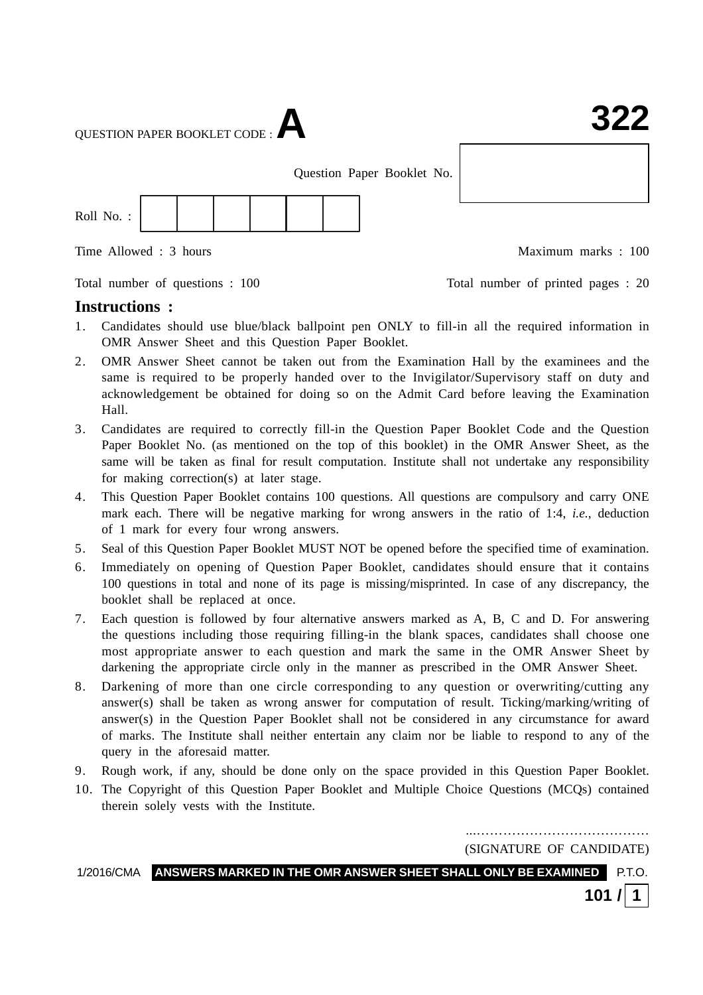QUESTION PAPER BOOKLET CODE :**A**

Question Paper Booklet No.



Time Allowed : 3 hours and the set of the Maximum marks : 100

Total number of questions : 100 Total number of printed pages : 20

### **Instructions :**

- 1. Candidates should use blue/black ballpoint pen ONLY to fill-in all the required information in OMR Answer Sheet and this Question Paper Booklet.
- 2. OMR Answer Sheet cannot be taken out from the Examination Hall by the examinees and the same is required to be properly handed over to the Invigilator/Supervisory staff on duty and acknowledgement be obtained for doing so on the Admit Card before leaving the Examination Hall.
- 3. Candidates are required to correctly fill-in the Question Paper Booklet Code and the Question Paper Booklet No. (as mentioned on the top of this booklet) in the OMR Answer Sheet, as the same will be taken as final for result computation. Institute shall not undertake any responsibility for making correction(s) at later stage.
- 4. This Question Paper Booklet contains 100 questions. All questions are compulsory and carry ONE mark each. There will be negative marking for wrong answers in the ratio of 1:4, *i.e.*, deduction of 1 mark for every four wrong answers.
- 5. Seal of this Question Paper Booklet MUST NOT be opened before the specified time of examination.
- 6. Immediately on opening of Question Paper Booklet, candidates should ensure that it contains 100 questions in total and none of its page is missing/misprinted. In case of any discrepancy, the booklet shall be replaced at once.
- 7. Each question is followed by four alternative answers marked as A, B, C and D. For answering the questions including those requiring filling-in the blank spaces, candidates shall choose one most appropriate answer to each question and mark the same in the OMR Answer Sheet by darkening the appropriate circle only in the manner as prescribed in the OMR Answer Sheet.
- 8. Darkening of more than one circle corresponding to any question or overwriting/cutting any answer(s) shall be taken as wrong answer for computation of result. Ticking/marking/writing of answer(s) in the Question Paper Booklet shall not be considered in any circumstance for award of marks. The Institute shall neither entertain any claim nor be liable to respond to any of the query in the aforesaid matter.
- 9. Rough work, if any, should be done only on the space provided in this Question Paper Booklet.
- 10. The Copyright of this Question Paper Booklet and Multiple Choice Questions (MCQs) contained therein solely vests with the Institute.

...………………………………… (SIGNATURE OF CANDIDATE)

1/2016/CMA **ANSWERS MARKED IN THE OMR ANSWER SHEET SHALL ONLY BE EXAMINED** P.T.O.

**101 / 1**

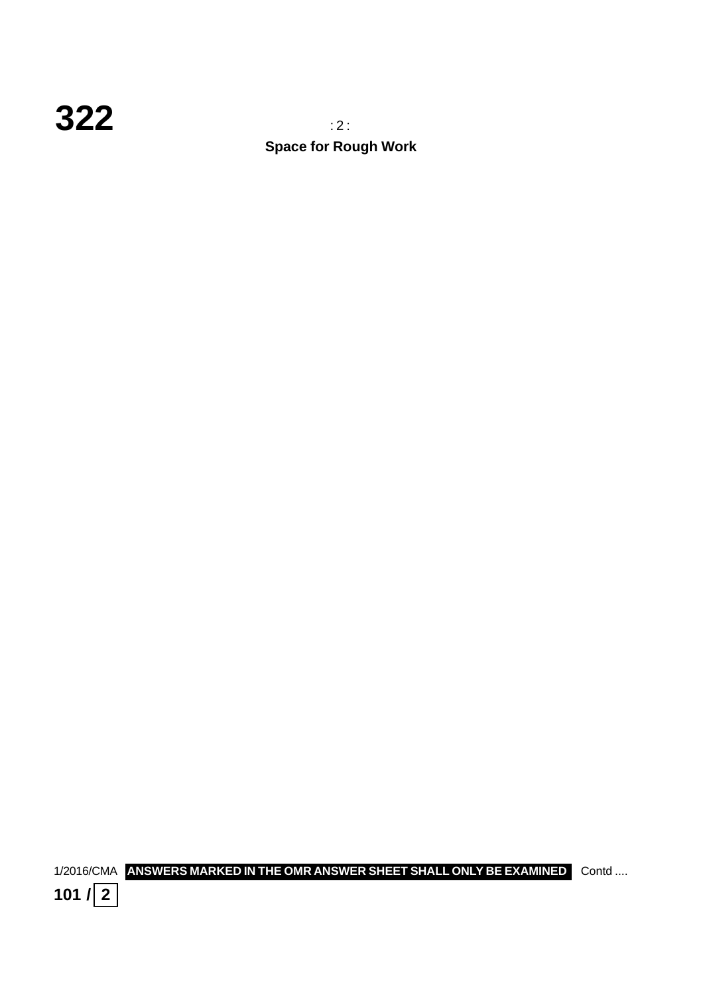

**Space for Rough Work**

1/2016/CMA **ANSWERS MARKED IN THE OMR ANSWER SHEET SHALL ONLY BE EXAMINED** Contd ....

**101**  $\sqrt{2}$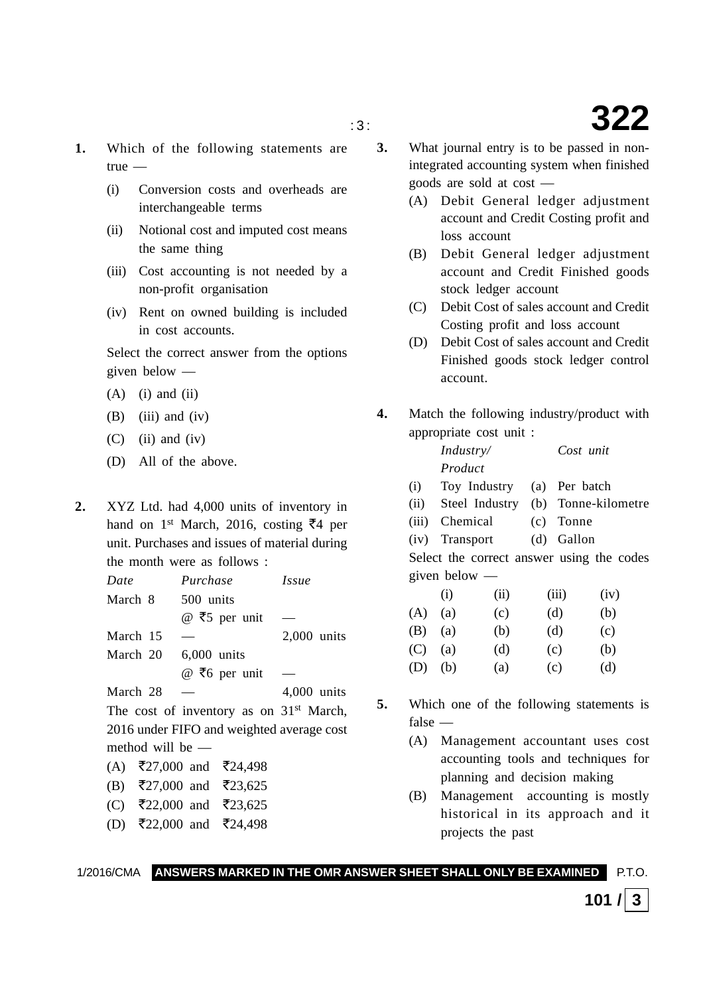- **1.** Which of the following statements are true —
	- (i) Conversion costs and overheads are interchangeable terms
	- (ii) Notional cost and imputed cost means the same thing
	- (iii) Cost accounting is not needed by a non-profit organisation
	- (iv) Rent on owned building is included in cost accounts.

Select the correct answer from the options given below —

- $(A)$  (i) and (ii)
- $(B)$  (iii) and (iv)
- $(C)$  (ii) and (iv)
- (D) All of the above.
- **2.** XYZ Ltd. had 4,000 units of inventory in hand on 1<sup>st</sup> March, 2016, costing  $\bar{z}$ 4 per unit. Purchases and issues of material during the month were as follows :

| Date             | Purchase                                            | <i>Issue</i>  |
|------------------|-----------------------------------------------------|---------------|
| March 8          | 500 units                                           |               |
|                  | @ ₹5 per unit                                       |               |
| March 15         |                                                     | $2,000$ units |
| March 20         | 6.000 units                                         |               |
|                  | @ ₹6 per unit                                       |               |
| March 28         |                                                     | 4,000 units   |
|                  | The cost of inventory as on 31 <sup>st</sup> March, |               |
|                  | 2016 under FIFO and weighted average cost           |               |
| method will be — |                                                     |               |
|                  | (A) ₹27,000 and ₹24,498                             |               |
|                  | (B) ₹27,000 and ₹23,625                             |               |
|                  | (C) ₹22,000 and ₹23,625                             |               |

(D) ₹22,000 and ₹24,498

- **3.** What journal entry is to be passed in nonintegrated accounting system when finished goods are sold at cost —
	- (A) Debit General ledger adjustment account and Credit Costing profit and loss account
	- (B) Debit General ledger adjustment account and Credit Finished goods stock ledger account
	- (C) Debit Cost of sales account and Credit Costing profit and loss account
	- (D) Debit Cost of sales account and Credit Finished goods stock ledger control account.
- **4.** Match the following industry/product with appropriate cost unit :

| Industry/                              |            | Cost unit        |
|----------------------------------------|------------|------------------|
| Product                                |            |                  |
| $\mathbf{m}$ $\mathbf{r}$ $\mathbf{r}$ | $\sqrt{2}$ | $\mathbf{D}$ 1.1 |

- (i) Toy Industry (a) Per batch
- (ii) Steel Industry (b) Tonne-kilometre
- (iii) Chemical (c) Tonne
- (iv) Transport (d) Gallon

Select the correct answer using the codes given below —

|     | (i) | (ii) | (iii) | (iv) |
|-----|-----|------|-------|------|
| (A) | (a) | (c)  | (d)   | (b)  |
| (B) | (a) | (b)  | (d)   | (c)  |
| (C) | (a) | (d)  | (c)   | (b)  |
| (D) | (b) | (a)  | (c)   | (d)  |

- **5.** Which one of the following statements is false —
	- (A) Management accountant uses cost accounting tools and techniques for planning and decision making
	- (B) Management accounting is mostly historical in its approach and it projects the past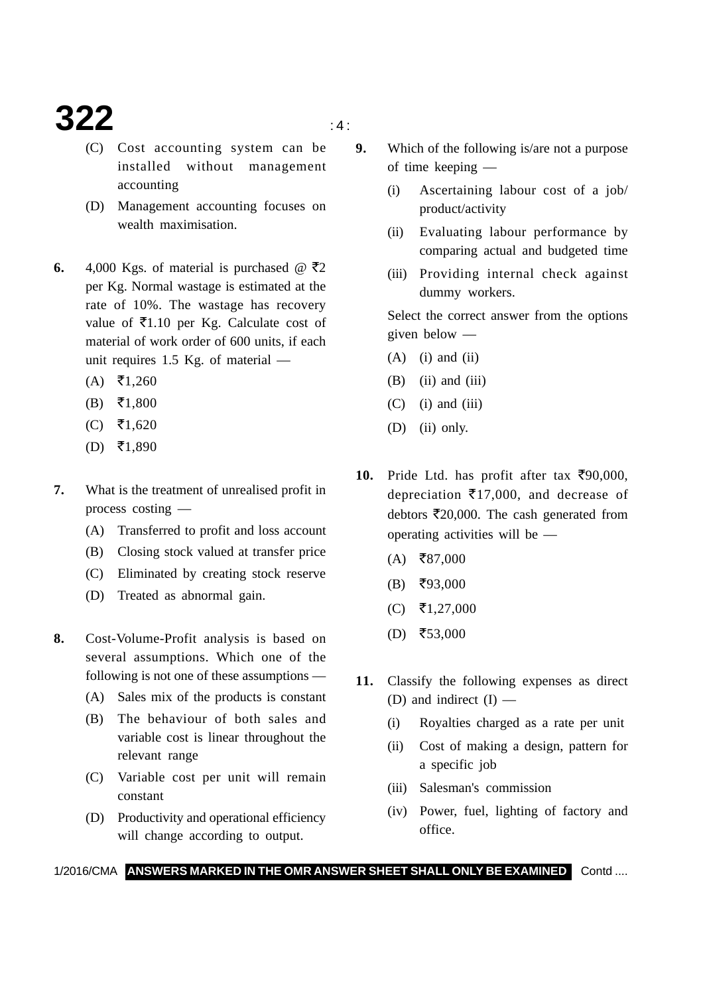### **322**  $\qquad \qquad \text{a}$

- 
- (C) Cost accounting system can be installed without management accounting
- (D) Management accounting focuses on wealth maximisation.
- **6.** 4,000 Kgs. of material is purchased  $\omega$   $\bar{\tau}$ 2 per Kg. Normal wastage is estimated at the rate of 10%. The wastage has recovery value of  $\bar{\mathcal{E}}$ 1.10 per Kg. Calculate cost of material of work order of 600 units, if each unit requires 1.5 Kg. of material —
	- $(A)$  ₹1,260
	- $(B)$  ₹1,800
	- $(C)$  ₹1,620
	- $(D)$  ₹1,890
- **7.** What is the treatment of unrealised profit in process costing —
	- (A) Transferred to profit and loss account
	- (B) Closing stock valued at transfer price
	- (C) Eliminated by creating stock reserve
	- (D) Treated as abnormal gain.
- **8.** Cost-Volume-Profit analysis is based on several assumptions. Which one of the following is not one of these assumptions —
	- (A) Sales mix of the products is constant
	- (B) The behaviour of both sales and variable cost is linear throughout the relevant range
	- (C) Variable cost per unit will remain constant
	- (D) Productivity and operational efficiency will change according to output.
- **9.** Which of the following is/are not a purpose of time keeping —
	- (i) Ascertaining labour cost of a job/ product/activity
	- (ii) Evaluating labour performance by comparing actual and budgeted time
	- (iii) Providing internal check against dummy workers.

Select the correct answer from the options given below —

- $(A)$  (i) and (ii)
- $(B)$  (ii) and (iii)
- $(C)$  (i) and (iii)
- (D) (ii) only.
- 10. Pride Ltd. has profit after tax  $\overline{\xi}90,000$ , depreciation  $\bar{\mathbf{z}}$ 17,000, and decrease of debtors  $\bar{\mathfrak{r}}20,000$ . The cash generated from operating activities will be —
	- $(A)$  ₹87,000
	- $(B)$  ₹93,000
	- (C) ₹1,27,000
	- $(D)$  ₹53,000
- **11.** Classify the following expenses as direct (D) and indirect  $(I)$  —
	- (i) Royalties charged as a rate per unit
	- (ii) Cost of making a design, pattern for a specific job
	- (iii) Salesman's commission
	- (iv) Power, fuel, lighting of factory and office.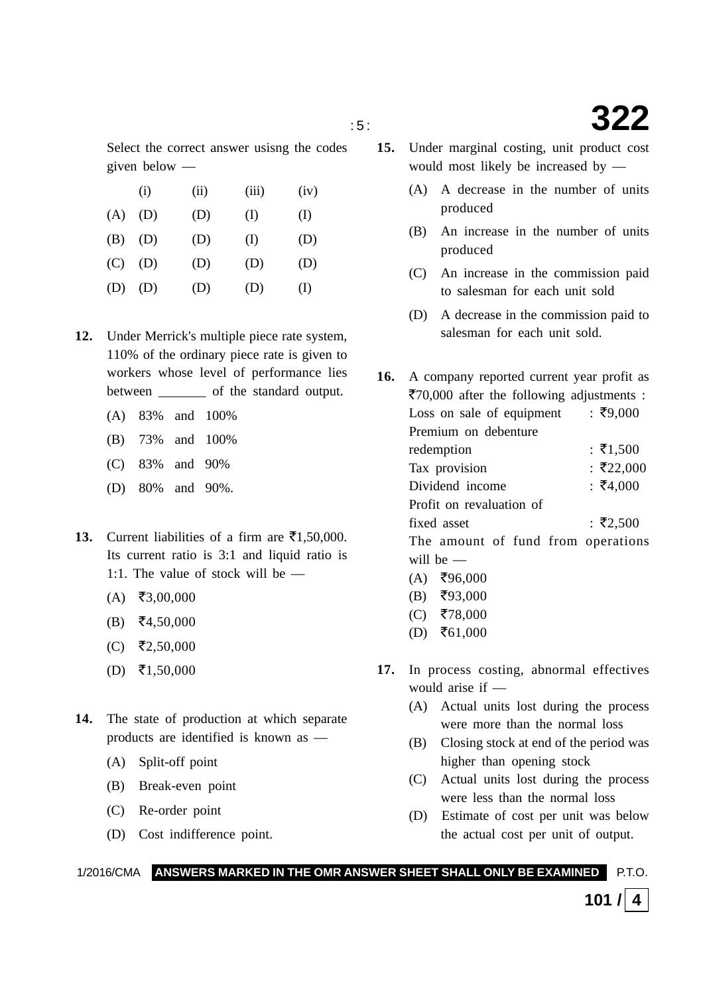Select the correct answer usisng the codes given below —

|     | (i) | (ii) | (iii) | (iv)     |
|-----|-----|------|-------|----------|
| (A) | (D) | (D)  | (I)   | (I)      |
| (B) | (D) | (D)  | (I)   | (D)      |
| (C) | (D) | (D)  | (D)   | (D)      |
| (D) | (D) | (D)  | (D)   | $\rm(L)$ |

- **12.** Under Merrick's multiple piece rate system, 110% of the ordinary piece rate is given to workers whose level of performance lies between \_\_\_\_\_\_\_ of the standard output.
	- (A) 83% and 100%
	- (B) 73% and 100%
	- (C) 83% and 90%
	- (D) 80% and 90%.
- **13.** Current liabilities of a firm are  $\bar{\mathbf{z}}$ 1,50,000. Its current ratio is 3:1 and liquid ratio is 1:1. The value of stock will be —
	- $(A)$  ₹3,00,000
	- $(B)$  ₹4,50,000
	- $(C)$  ₹2,50,000
	- $(D)$  ₹1,50,000
- **14.** The state of production at which separate products are identified is known as —
	- (A) Split-off point
	- (B) Break-even point
	- (C) Re-order point
	- (D) Cost indifference point.
- **15.** Under marginal costing, unit product cost would most likely be increased by —
	- (A) A decrease in the number of units produced
	- (B) An increase in the number of units produced
	- (C) An increase in the commission paid to salesman for each unit sold
	- (D) A decrease in the commission paid to salesman for each unit sold.

**16.** A company reported current year profit as ₹70,000 after the following adjustments : Loss on sale of equipment  $\frac{1}{5}$  ₹9,000 Premium on debenture redemption :  $\bar{x}$ 1,500 Tax provision : ₹22,000 Dividend income : ₹4,000 Profit on revaluation of fixed asset  $\frac{1}{2}$ ₹2.500 The amount of fund from operations will be —  $(A)$  ₹96,000

- $(B)$  ₹93,000
- $(C)$  ₹78,000
- $(D)$  ₹61,000
- **17.** In process costing, abnormal effectives would arise if —
	- (A) Actual units lost during the process were more than the normal loss
	- (B) Closing stock at end of the period was higher than opening stock
	- (C) Actual units lost during the process were less than the normal loss
	- (D) Estimate of cost per unit was below the actual cost per unit of output.

1/2016/CMA **ANSWERS MARKED IN THE OMR ANSWER SHEET SHALL ONLY BE EXAMINED** P.T.O.

**101** /  $\vert$  4

: 5 : **322**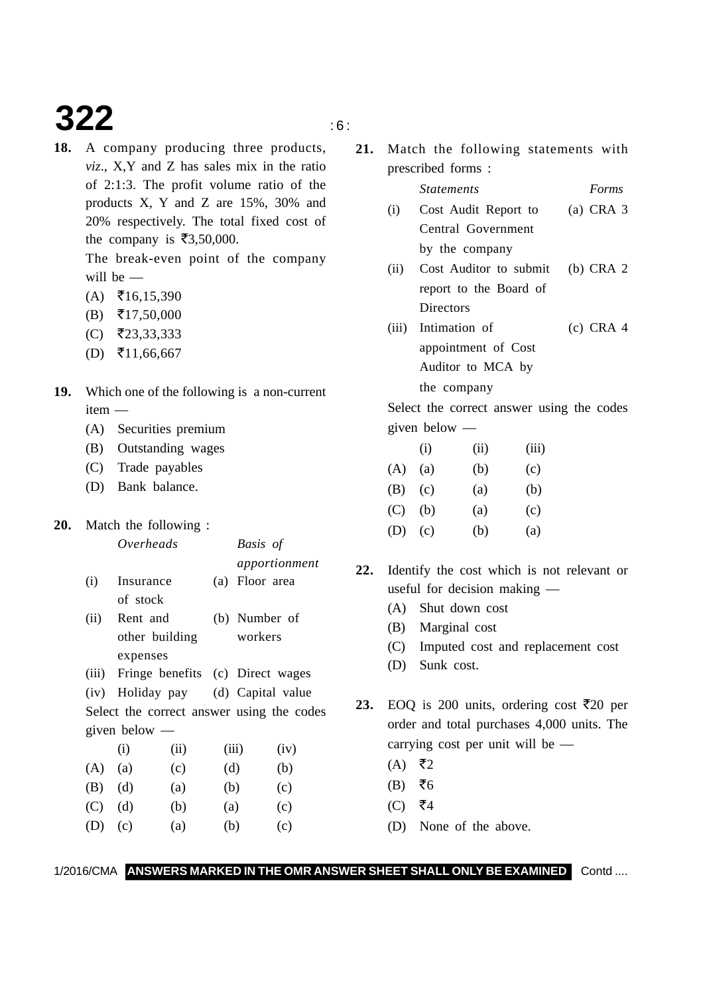## **322** is a set of  $\mathbf{S}$

**18.** A company producing three products, *viz*., X,Y and Z has sales mix in the ratio of 2:1:3. The profit volume ratio of the products X, Y and Z are 15%, 30% and 20% respectively. The total fixed cost of the company is  $\overline{\xi}3,50,000$ .

> The break-even point of the company will be —

- $(A)$  ₹16,15,390
- $(B)$  ₹17,50,000
- (C) -23,33,333
- $(D)$  ₹11,66,667
- **19.** Which one of the following is a non-current item —
	- (A) Securities premium
	- (B) Outstanding wages
	- (C) Trade payables
	- (D) Bank balance.

### **20.** Match the following :

given below —

### *apportionment* (i) Insurance (a) Floor area of stock (ii) Rent and (b) Number of other building workers expenses (iii) Fringe benefits (c) Direct wages (iv) Holiday pay (d) Capital value Select the correct answer using the codes

*Overheads Basis of*

|     | (i) | (ii) | (iii) | (iv) |
|-----|-----|------|-------|------|
| (A) | (a) | (c)  | (d)   | (b)  |
| (B) | (d) | (a)  | (b)   | (c)  |
| (C) | (d) | (b)  | (a)   | (c)  |
| (D) | (c) | (a)  | (b)   | (c)  |
|     |     |      |       |      |

**21.** Match the following statements with prescribed forms :

*Statements Forms*

### (i) Cost Audit Report to (a) CRA 3 Central Government by the company (ii) Cost Auditor to submit (b) CRA 2 report to the Board of **Directors** (iii) Intimation of (c) CRA 4 appointment of Cost Auditor to MCA by the company

Select the correct answer using the codes given below —

|     | (i) | (11) | (111) |
|-----|-----|------|-------|
| (A) | (a) | (b)  | (c)   |
| (B) | (c) | (a)  | (b)   |
| (C) | (b) | (a)  | (c)   |
| (D) | (c) | (b)  | (a)   |
|     |     |      |       |

- **22.** Identify the cost which is not relevant or useful for decision making —
	- (A) Shut down cost
	- (B) Marginal cost
	- (C) Imputed cost and replacement cost
	- (D) Sunk cost.

**23.** EOQ is 200 units, ordering cost  $\overline{\xi}$ 20 per order and total purchases 4,000 units. The carrying cost per unit will be —

- $(A)$  ₹2
- $(B)$  ₹6
- (C) ₹4
- (D) None of the above.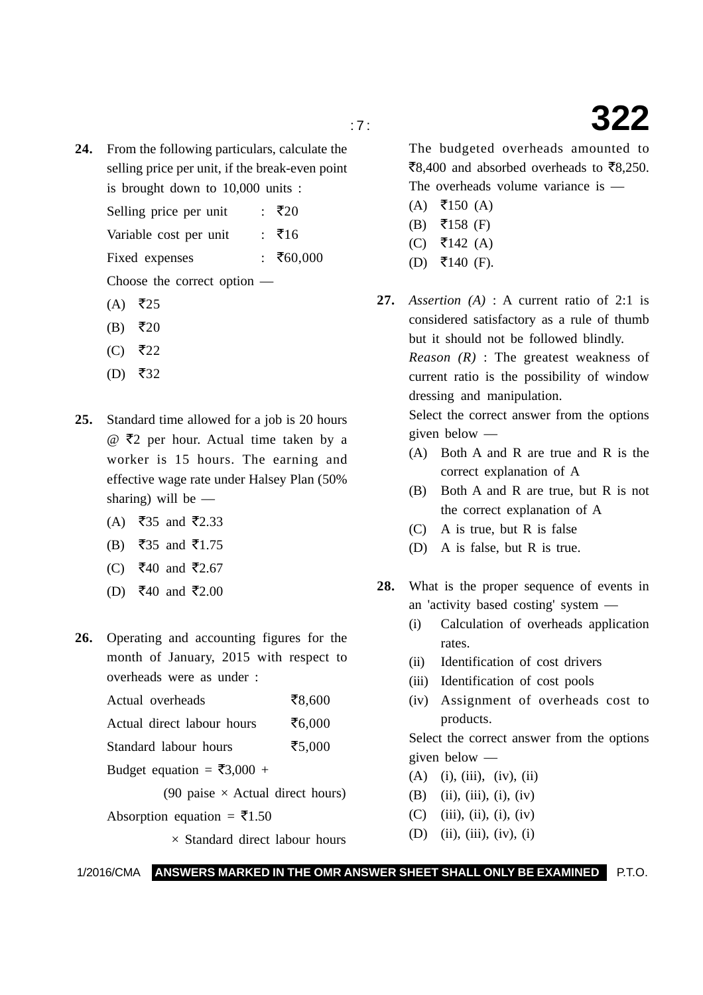**24.** From the following particulars, calculate the selling price per unit, if the break-even point is brought down to 10,000 units :

> Selling price per unit : ₹20

Variable cost per unit :  $\bar{x}16$ 

Fixed expenses : ₹60,000

Choose the correct option —

- $(A)$  ₹25
- $(B)$  ₹20
- $(C)$  ₹22
- $(D)$  ₹32
- **25.** Standard time allowed for a job is 20 hours  $@$   $\overline{\xi}2$  per hour. Actual time taken by a worker is 15 hours. The earning and effective wage rate under Halsey Plan (50% sharing) will be —
	- (A) ₹35 and ₹2.33
	- (B) ₹35 and ₹1.75
	- (C) ₹40 and ₹2.67
	- (D) ₹40 and ₹2.00
- **26.** Operating and accounting figures for the month of January, 2015 with respect to overheads were as under :

Actual overheads ₹8,600

Actual direct labour hours ₹ $6,000$ 

Standard labour hours ₹5,000

Budget equation =  $\overline{\xi}3,000 +$ 

(90 paise  $\times$  Actual direct hours)

Absorption equation =  $\bar{\epsilon}$ 1.50

 $\times$  Standard direct labour hours

The budgeted overheads amounted to ₹8,400 and absorbed overheads to ₹8,250. The overheads volume variance is —

- $(A) \quad \overline{5}150 \text{ (A)}$
- (B) ₹158 (F)
- (C) ₹142 (A)
- $(D)$  ₹140 (F).
- **27.** *Assertion (A)* : A current ratio of 2:1 is considered satisfactory as a rule of thumb but it should not be followed blindly.

*Reason (R)* : The greatest weakness of current ratio is the possibility of window dressing and manipulation.

Select the correct answer from the options given below —

- (A) Both A and R are true and R is the correct explanation of A
- (B) Both A and R are true, but R is not the correct explanation of A
- (C) A is true, but R is false
- (D) A is false, but R is true.
- **28.** What is the proper sequence of events in an 'activity based costing' system —
	- (i) Calculation of overheads application rates.
	- (ii) Identification of cost drivers
	- (iii) Identification of cost pools
	- (iv) Assignment of overheads cost to products.

Select the correct answer from the options given below —

- $(A)$  (i), (iii), (iv), (ii)
- (B) (ii), (iii), (i), (iv)
- $(C)$  (iii), (ii), (i), (iv)
- (D) (ii), (iii), (iv), (i)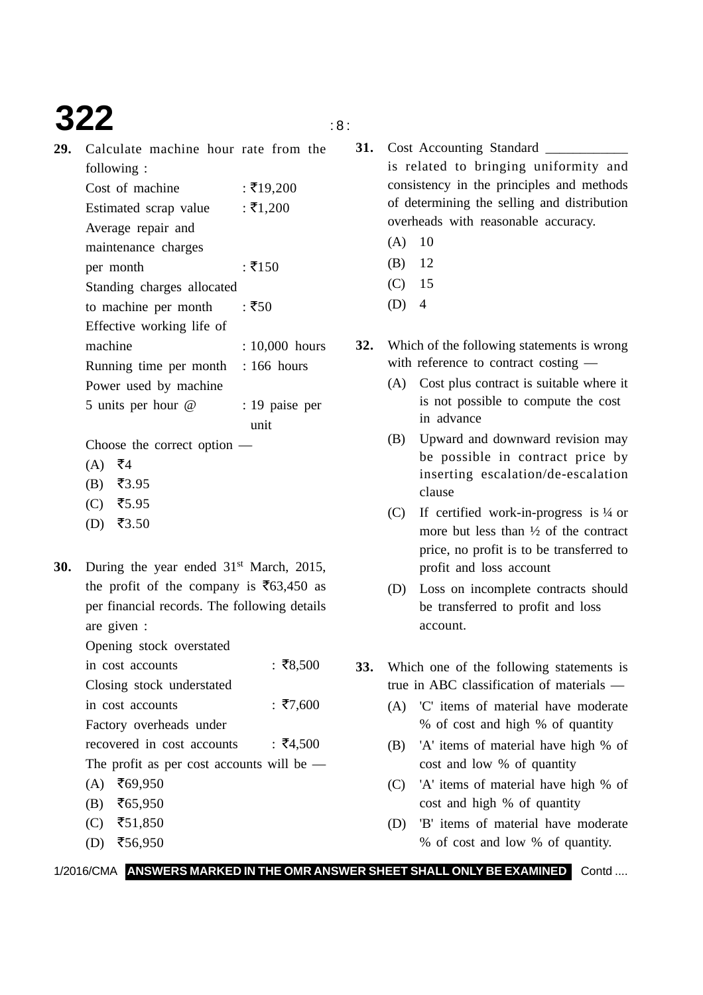# **322** is a set of  $\frac{1}{2}$

**29.** Calculate machine hour rate from the following :

| : ₹19,200                          |
|------------------------------------|
| : ₹1,200                           |
|                                    |
|                                    |
| : ₹150                             |
|                                    |
| : ₹50                              |
|                                    |
| : 10,000 hours                     |
| Running time per month : 166 hours |
|                                    |
| : 19 paise per                     |
|                                    |

unit

Choose the correct option —

- $(A)$  ₹4
- $(B)$  ₹3.95
- $(C)$  ₹5.95
- $(D)$  ₹3.50
- **30.** During the year ended 31<sup>st</sup> March, 2015, the profit of the company is  $\overline{5}63,450$  as per financial records. The following details are given :
	- Opening stock overstated
	- in cost accounts  $\pm 78,500$ Closing stock understated in cost accounts  $\pm 7,600$ Factory overheads under recovered in cost accounts :  $\bar{z}$ 4,500

The profit as per cost accounts will be —

- $(A)$  ₹69,950
- (B) ₹65,950
- $(C)$  ₹51,850
- $(D)$  ₹56,950
- 31. Cost Accounting Standard is related to bringing uniformity and consistency in the principles and methods of determining the selling and distribution overheads with reasonable accuracy.
	- $(A)$  10
	- (B) 12
	- (C) 15
	- $(D)$  4
- **32.** Which of the following statements is wrong with reference to contract costing —
	- (A) Cost plus contract is suitable where it is not possible to compute the cost in advance
	- (B) Upward and downward revision may be possible in contract price by inserting escalation/de-escalation clause
	- (C) If certified work-in-progress is ¼ or more but less than ½ of the contract price, no profit is to be transferred to profit and loss account
	- (D) Loss on incomplete contracts should be transferred to profit and loss account.
- **33.** Which one of the following statements is true in ABC classification of materials —
	- (A) 'C' items of material have moderate % of cost and high % of quantity
	- (B) 'A' items of material have high % of cost and low % of quantity
	- (C) 'A' items of material have high % of cost and high % of quantity
	- (D) 'B' items of material have moderate % of cost and low % of quantity.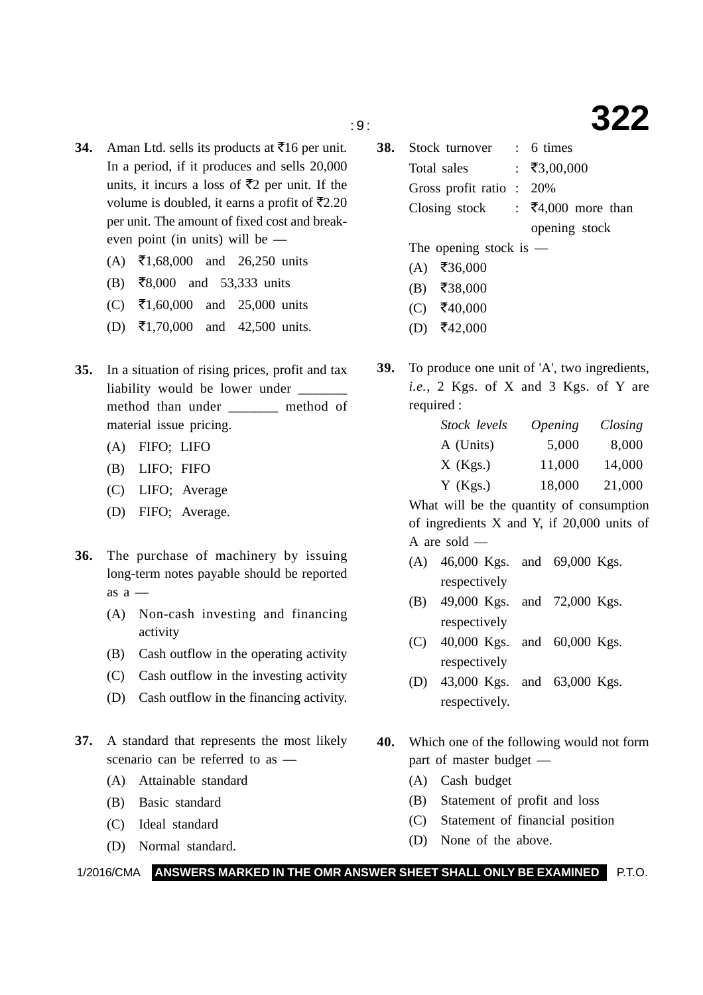### : 9 : **322**

- **34.** Aman Ltd. sells its products at  $\overline{5}16$  per unit. In a period, if it produces and sells 20,000 units, it incurs a loss of  $\bar{\mathfrak{Z}}$  per unit. If the volume is doubled, it earns a profit of  $\bar{\mathfrak{Z}}2.20$ per unit. The amount of fixed cost and breakeven point (in units) will be —
	- (A) ₹1,68,000 and 26,250 units
	- (B) -8,000 and 53,333 units
	- (C) ₹1,60,000 and 25,000 units
	- (D) ₹1,70,000 and 42,500 units.
- **35.** In a situation of rising prices, profit and tax liability would be lower under method than under \_\_\_\_\_\_\_ method of material issue pricing.
	- (A) FIFO; LIFO
	- (B) LIFO; FIFO
	- (C) LIFO; Average
	- (D) FIFO; Average.
- **36.** The purchase of machinery by issuing long-term notes payable should be reported as  $a -$ 
	- (A) Non-cash investing and financing activity
	- (B) Cash outflow in the operating activity
	- (C) Cash outflow in the investing activity
	- (D) Cash outflow in the financing activity.
- **37.** A standard that represents the most likely scenario can be referred to as —
	- (A) Attainable standard
	- (B) Basic standard
	- (C) Ideal standard
	- (D) Normal standard.
- **38.** Stock turnover : 6 times Total sales :  $\bar{x}3,00,000$ Gross profit ratio : 20% Closing stock :  $\overline{54,000}$  more than opening stock The opening stock is —
	- $(A)$  ₹36,000
	-
	- $(B)$  ₹38,000
	- $(C)$  ₹40,000
	- $(D)$  ₹42,000
- **39.** To produce one unit of 'A', two ingredients, *i.e.*, 2 Kgs. of X and 3 Kgs. of Y are required :

| Stock levels | <i><b>Opening</b></i> | Closing |
|--------------|-----------------------|---------|
| A (Units)    | 5,000                 | 8,000   |
| $X$ (Kgs.)   | 11,000                | 14,000  |
| $Y$ (Kgs.)   | 18,000                | 21,000  |

What will be the quantity of consumption of ingredients X and Y, if 20,000 units of A are sold —

- (A) 46,000 Kgs. and 69,000 Kgs. respectively
- (B) 49,000 Kgs. and 72,000 Kgs. respectively
- (C) 40,000 Kgs. and 60,000 Kgs. respectively
- (D) 43,000 Kgs. and 63,000 Kgs. respectively.
- **40.** Which one of the following would not form part of master budget —
	- (A) Cash budget
	- (B) Statement of profit and loss
	- (C) Statement of financial position
	- (D) None of the above.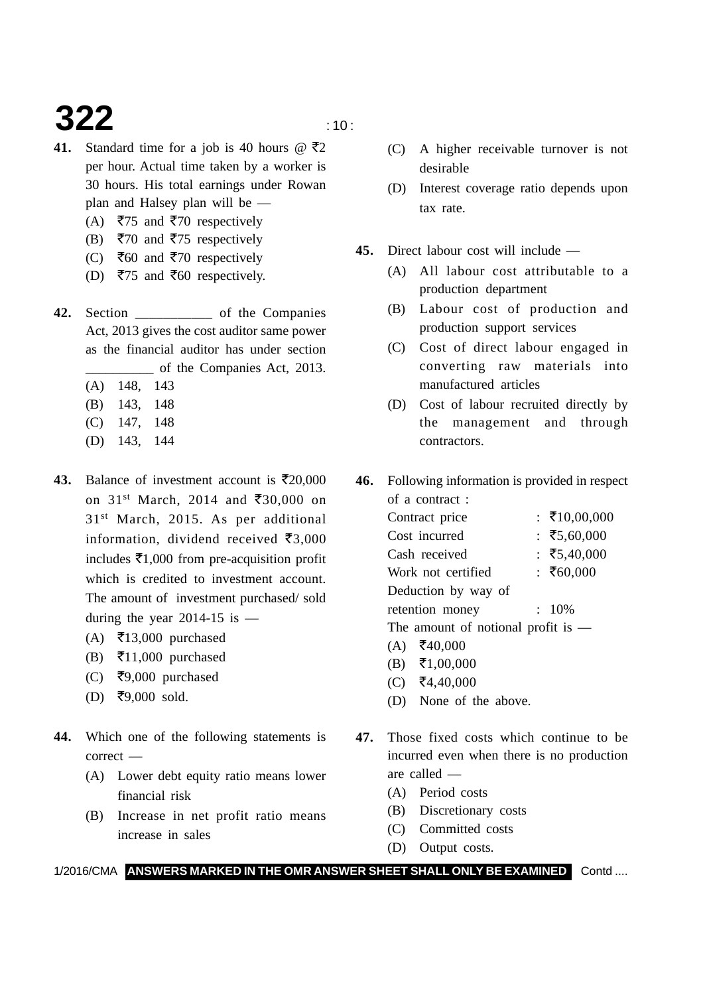### **322**  $\frac{10}{20}$

- **41.** Standard time for a job is 40 hours  $\omega$   $\bar{\tau}$ 2 per hour. Actual time taken by a worker is 30 hours. His total earnings under Rowan plan and Halsey plan will be —
	- (A) ₹75 and ₹70 respectively
	- (B) ₹70 and ₹75 respectively
	- (C) ₹60 and ₹70 respectively
	- (D) ₹75 and ₹60 respectively.
- **42.** Section \_\_\_\_\_\_\_\_\_\_\_ of the Companies Act, 2013 gives the cost auditor same power as the financial auditor has under section \_\_\_\_\_\_\_\_\_\_ of the Companies Act, 2013.
	- (A) 148, 143
	- (B) 143, 148
	- (C) 147, 148
	- (D) 143, 144
- 43. Balance of investment account is  $\bar{\mathfrak{r}}$  20,000 on 31<sup>st</sup> March, 2014 and ₹30,000 on 31st March, 2015. As per additional information, dividend received  $\bar{\mathbf{z}}_{3,000}$ includes  $\bar{\epsilon}$ 1,000 from pre-acquisition profit which is credited to investment account. The amount of investment purchased/ sold during the year 2014-15 is  $-$ 
	- (A) ₹13,000 purchased
	- (B) ₹11,000 purchased
	- (C) ₹9,000 purchased
	- $(D)$  ₹9,000 sold.
- **44.** Which one of the following statements is correct —
	- (A) Lower debt equity ratio means lower financial risk
	- (B) Increase in net profit ratio means increase in sales
- (C) A higher receivable turnover is not desirable
- (D) Interest coverage ratio depends upon tax rate.
- **45.** Direct labour cost will include
	- (A) All labour cost attributable to a production department
	- (B) Labour cost of production and production support services
	- (C) Cost of direct labour engaged in converting raw materials into manufactured articles
	- (D) Cost of labour recruited directly by the management and through contractors.
- **46.** Following information is provided in respect of a contract :
	- Contract price :  $\bar{x}$ 10,00,000 Cost incurred  $\div$  ₹5,60,000 Cash received  $\div$  ₹5.40,000 Work not certified  $\sqrt{560,000}$ Deduction by way of retention money :  $10\%$ The amount of notional profit is —
		- $(A)$  ₹40,000
		- $(B)$  ₹1,00,000
		- $(C)$  ₹4,40,000
		- (D) None of the above.
- **47.** Those fixed costs which continue to be incurred even when there is no production are called —
	- (A) Period costs
	- (B) Discretionary costs
	- (C) Committed costs
	- (D) Output costs.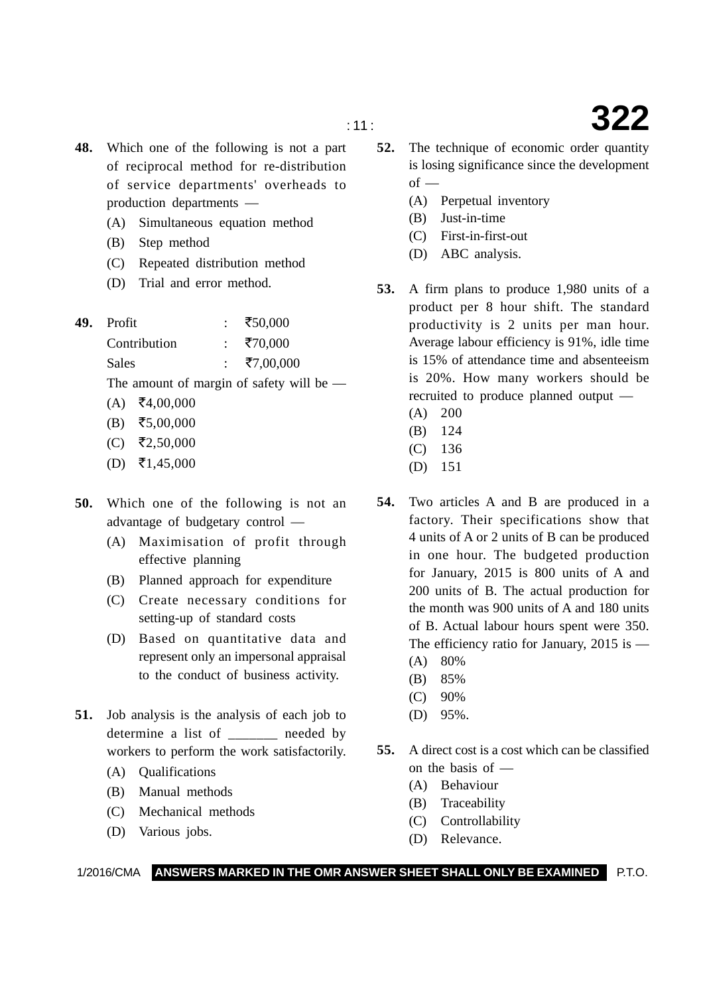- **48.** Which one of the following is not a part of reciprocal method for re-distribution of service departments' overheads to production departments —
	- (A) Simultaneous equation method
	- (B) Step method
	- (C) Repeated distribution method
	- (D) Trial and error method.
- **49.** Profit : -50,000 Contribution : ₹70,000 Sales : ₹7,00,000 The amount of margin of safety will be —
	- $(A)$  ₹4,00,000
	- $(B)$  ₹5,00,000
	- $(C)$  ₹2,50,000
	- $(D)$  ₹1,45,000
- **50.** Which one of the following is not an advantage of budgetary control —
	- (A) Maximisation of profit through effective planning
	- (B) Planned approach for expenditure
	- (C) Create necessary conditions for setting-up of standard costs
	- (D) Based on quantitative data and represent only an impersonal appraisal to the conduct of business activity.
- **51.** Job analysis is the analysis of each job to determine a list of needed by workers to perform the work satisfactorily.
	- (A) Qualifications
	- (B) Manual methods
	- (C) Mechanical methods
	- (D) Various jobs.
- **52.** The technique of economic order quantity is losing significance since the development  $of$  —
	- (A) Perpetual inventory
	- (B) Just-in-time
	- (C) First-in-first-out
	- (D) ABC analysis.
- **53.** A firm plans to produce 1,980 units of a product per 8 hour shift. The standard productivity is 2 units per man hour. Average labour efficiency is 91%, idle time is 15% of attendance time and absenteeism is 20%. How many workers should be recruited to produce planned output —
	- (A) 200
	- (B) 124
	- (C) 136
	- (D) 151
- **54.** Two articles A and B are produced in a factory. Their specifications show that 4 units of A or 2 units of B can be produced in one hour. The budgeted production for January, 2015 is 800 units of A and 200 units of B. The actual production for the month was 900 units of A and 180 units of B. Actual labour hours spent were 350. The efficiency ratio for January, 2015 is — (A) 80%
	- (B) 85%
	- (C) 90%
	- (D) 95%.
- **55.** A direct cost is a cost which can be classified on the basis of —
	- (A) Behaviour
	- (B) Traceability
	- (C) Controllability
	- (D) Relevance.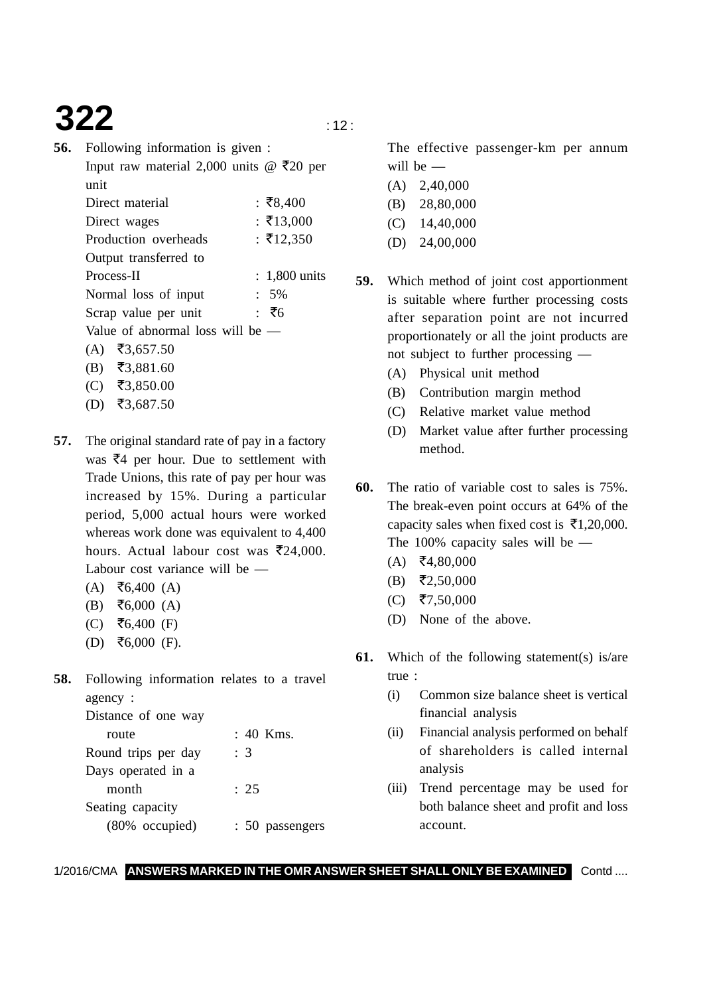## **322**  $\frac{1}{2}$

| 56. | Following information is given :                         |
|-----|----------------------------------------------------------|
|     | Input raw material 2,000 units @ $\overline{\tau}20$ per |
|     | unit                                                     |
|     | Direct material<br>: ₹8,400                              |
|     | : ₹13,000<br>Direct wages                                |
|     | : ₹12,350<br>Production overheads                        |
|     | Output transferred to                                    |
|     | Process-II<br>$: 1,800$ units                            |
|     | Normal loss of input<br>$: 5\%$                          |
|     | : ₹6<br>Scrap value per unit                             |
|     | Value of abnormal loss will be -                         |
|     | (A) ₹3,657.50                                            |
|     | (B) ₹3,881.60                                            |
|     | ₹3,850.00<br>$($ $\Gamma$                                |
|     |                                                          |

- $(D)$  ₹3,687.50
- **57.** The original standard rate of pay in a factory was  $\bar{z}$ 4 per hour. Due to settlement with Trade Unions, this rate of pay per hour was increased by 15%. During a particular period, 5,000 actual hours were worked whereas work done was equivalent to 4,400 hours. Actual labour cost was  $\bar{\mathfrak{z}}24,000$ . Labour cost variance will be —
	- $(A)$  ₹6,400  $(A)$
	- $(B) \quad \overline{56,000}$  (A)
	- (C) ₹6,400 (F)
	- $(D)$  ₹6,000 (F).
- **58.** Following information relates to a travel agency :

| Distance of one way |                 |
|---------------------|-----------------|
| route               | : 40 Kms.       |
| Round trips per day | : 3             |
| Days operated in a  |                 |
| month               | : 25            |
| Seating capacity    |                 |
| (80% occupied)      | : 50 passengers |

The effective passenger-km per annum will be —

- (A) 2,40,000 (B) 28,80,000 (C) 14,40,000
- (D) 24,00,000

**59.** Which method of joint cost apportionment is suitable where further processing costs after separation point are not incurred proportionately or all the joint products are not subject to further processing —

- (A) Physical unit method
- (B) Contribution margin method
- (C) Relative market value method
- (D) Market value after further processing method.
- **60.** The ratio of variable cost to sales is 75%. The break-even point occurs at 64% of the capacity sales when fixed cost is  $\bar{\mathbf{z}}$ 1,20,000. The 100% capacity sales will be —
	- $(A)$  ₹4,80,000
	- $(B)$  ₹2,50,000
	- $(C)$  ₹7,50,000
	- (D) None of the above.
- **61.** Which of the following statement(s) is/are true :
	- (i) Common size balance sheet is vertical financial analysis
	- (ii) Financial analysis performed on behalf of shareholders is called internal analysis
	- (iii) Trend percentage may be used for both balance sheet and profit and loss account.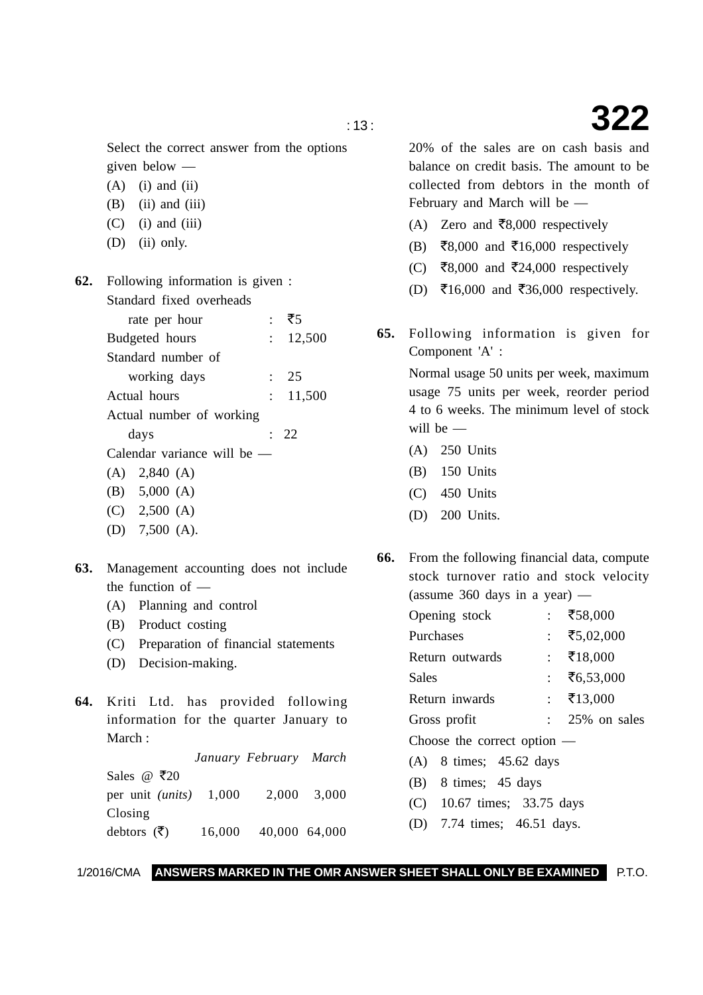Select the correct answer from the options given below —

- $(A)$  (i) and (ii)
- $(B)$  (ii) and (iii)
- $(C)$  (i) and (iii)
- (D) (ii) only.
- **62.** Following information is given : Standard fixed overheads
	- rate per hour :  $75$ Budgeted hours : 12,500 Standard number of working days : 25 Actual hours : 11,500 Actual number of working  $davs$  : 22 Calendar variance will be — (A) 2,840 (A) (B) 5,000 (A)
		- (C) 2,500 (A)
		- (D) 7,500 (A).
- **63.** Management accounting does not include the function of —
	- (A) Planning and control
	- (B) Product costing
	- (C) Preparation of financial statements
	- (D) Decision-making.
- **64.** Kriti Ltd. has provided following information for the quarter January to March :

*January February March* Sales @  $\bar{\tau}$ 20 per unit *(units)* 1,000 2,000 3,000 Closing debtors  $(\overline{\zeta})$ ) 16,000 40,000 64,000

20% of the sales are on cash basis and balance on credit basis. The amount to be collected from debtors in the month of February and March will be —

- (A) Zero and ₹8,000 respectively
- (B) ₹8,000 and ₹16,000 respectively
- (C) ₹8,000 and ₹24,000 respectively
- (D) ₹16,000 and ₹36,000 respectively.
- **65.** Following information is given for Component 'A' :

Normal usage 50 units per week, maximum usage 75 units per week, reorder period 4 to 6 weeks. The minimum level of stock will be —

- (A) 250 Units
- (B) 150 Units
- (C) 450 Units
- (D) 200 Units.
- **66.** From the following financial data, compute stock turnover ratio and stock velocity (assume  $360$  days in a year) —

| Opening stock                 | ₹58,000      |
|-------------------------------|--------------|
| Purchases                     | ₹5,02,000    |
| Return outwards               | : ₹18,000    |
| Sales                         | ₹6,53,000    |
| Return inwards                | : ₹13,000    |
| Gross profit                  | 25% on sales |
| Choose the correct option $-$ |              |
|                               |              |

- (A) 8 times; 45.62 days
- (B) 8 times; 45 days
- (C) 10.67 times; 33.75 days
- (D) 7.74 times; 46.51 days.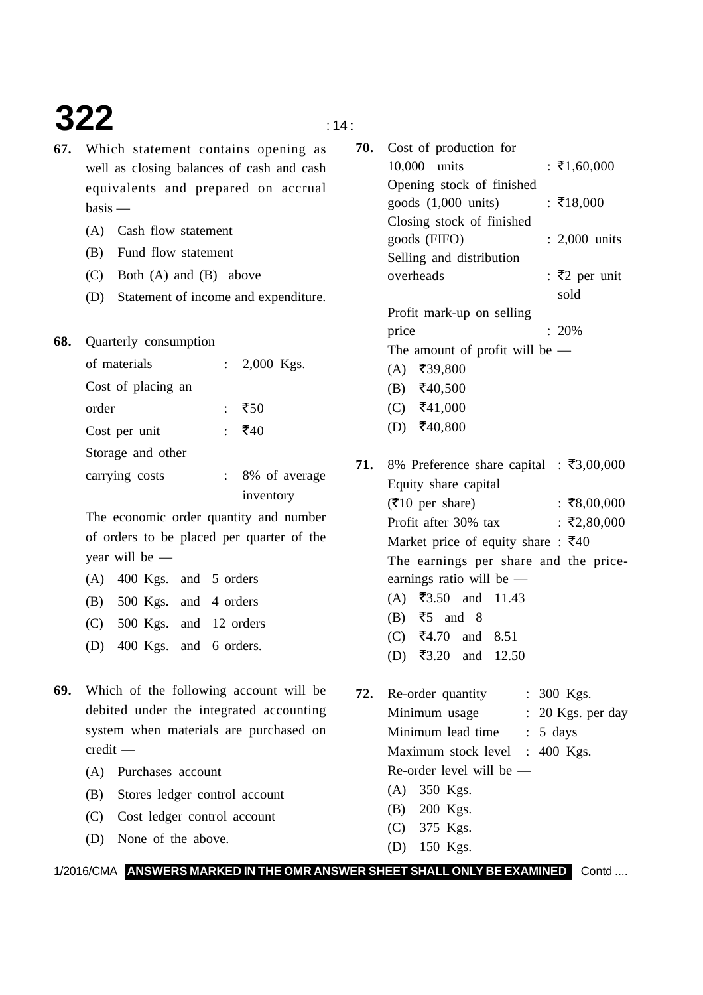# **322**  $\qquad \qquad$  14:

- **67.** Which statement contains opening as well as closing balances of cash and cash equivalents and prepared on accrual basis —
	- (A) Cash flow statement
	- (B) Fund flow statement
	- (C) Both (A) and (B) above
	- (D) Statement of income and expenditure.
- **68.** Quarterly consumption

| of materials       | : $2,000$ Kgs. |
|--------------------|----------------|
| Cost of placing an |                |
| order              | : ₹50          |
| Cost per unit      | : ₹40          |
| Storage and other  |                |
| carrying costs     | 8% of average  |
|                    | inventory      |

The economic order quantity and number of orders to be placed per quarter of the year will be —

| $(A)$ 400 Kgs. and 5 orders  |  |
|------------------------------|--|
| (B) 500 Kgs. and 4 orders    |  |
| (C) 500 Kgs. and 12 orders   |  |
| (D) $400$ Kgs. and 6 orders. |  |
|                              |  |

- **69.** Which of the following account will be debited under the integrated accounting system when materials are purchased on credit —
	- (A) Purchases account
	- (B) Stores ledger control account
	- (C) Cost ledger control account
	- (D) None of the above.

| 70. | Cost of production for                                 |                       |
|-----|--------------------------------------------------------|-----------------------|
|     | 10,000 units                                           | : ₹1,60,000           |
|     | Opening stock of finished                              |                       |
|     | goods $(1,000 \text{ units})$                          | : ₹18,000             |
|     | Closing stock of finished                              |                       |
|     | goods (FIFO)                                           | $: 2,000$ units       |
|     | Selling and distribution                               |                       |
|     | overheads                                              | : ₹2 per unit<br>sold |
|     | Profit mark-up on selling                              |                       |
|     | price                                                  | $: 20\%$              |
|     | The amount of profit will be $-$                       |                       |
|     | $(A)$ ₹39,800                                          |                       |
|     | (B) ₹40,500                                            |                       |
|     | (C) ₹41,000                                            |                       |
|     | (D) ₹40,800                                            |                       |
|     | 71. 8% Preference share capital : $\bar{\tau}3,00,000$ |                       |
|     | Equity share capital                                   |                       |
|     | $($ ₹10 per share)                                     | : ₹8,00,000           |
|     | Profit after 30% tax                                   | : ₹2,80,000           |
|     | Market price of equity share : $\overline{\xi}40$      |                       |
|     | The earnings per share and the price-                  |                       |
|     | earnings ratio will be $-$                             |                       |
|     | (A) ₹3.50 and 11.43                                    |                       |
|     | $(B)$ ₹5 and 8                                         |                       |
|     | (C) ₹4.70 and 8.51                                     |                       |

**72.** Re-order quantity : 300 Kgs. Minimum usage : 20 Kgs. per day Minimum lead time : 5 days Maximum stock level : 400 Kgs. Re-order level will be — (A) 350 Kgs. (B) 200 Kgs. (C) 375 Kgs.

(D) ₹3.20 and 12.50

(D) 150 Kgs.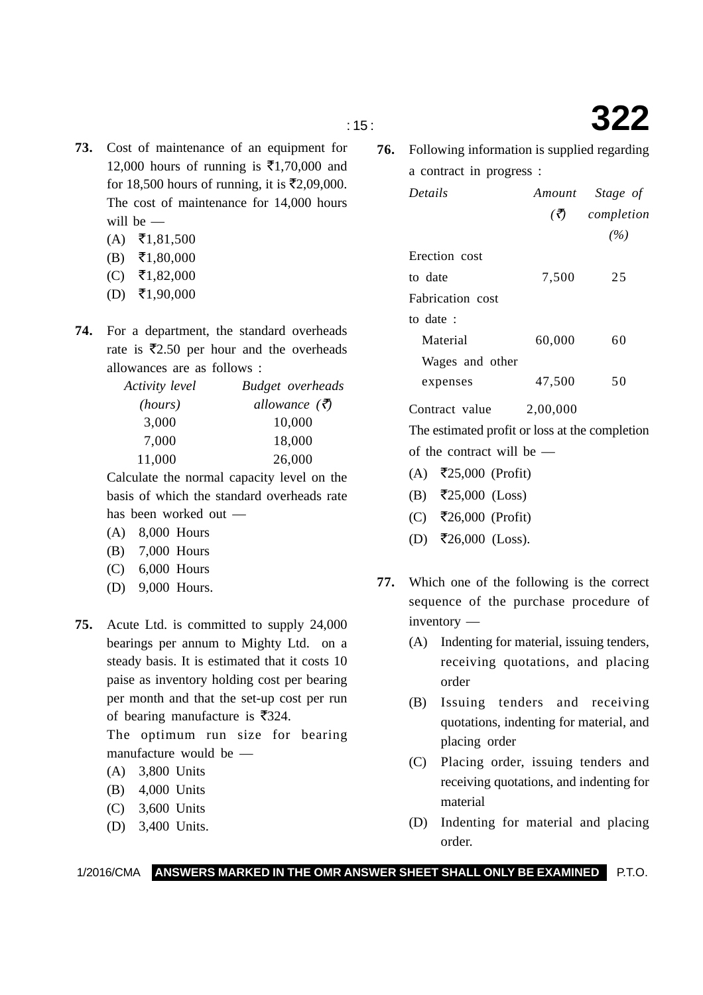- 
- **74.** For a department, the standard overheads rate is  $\overline{5}2.50$  per hour and the overheads allowances are as follows :

**73.** Cost of maintenance of an equipment for

12,000 hours of running is  $\bar{\mathfrak{E}}1,70,000$  and for 18,500 hours of running, it is  $\mathsf{\bar{E}}2,09,000$ . The cost of maintenance for 14,000 hours

| Activity level | Budget overheads         |
|----------------|--------------------------|
| (hours)        | allowance $(\vec{\tau})$ |
| 3,000          | 10,000                   |
| 7,000          | 18,000                   |
| 11,000         | 26,000                   |

Calculate the normal capacity level on the basis of which the standard overheads rate has been worked out —

(A) 8,000 Hours

will be —

 $(A)$  ₹1,81,500  $(B)$  ₹1,80,000  $(C)$  ₹1,82,000  $(D)$  ₹1,90,000

- (B) 7,000 Hours
- (C) 6,000 Hours
- (D) 9,000 Hours.
- **75.** Acute Ltd. is committed to supply 24,000 bearings per annum to Mighty Ltd. on a steady basis. It is estimated that it costs 10 paise as inventory holding cost per bearing per month and that the set-up cost per run of bearing manufacture is  $\overline{\xi}$ 324.

The optimum run size for bearing manufacture would be —

- (A) 3,800 Units
- (B) 4,000 Units
- (C) 3,600 Units
- (D) 3,400 Units.

**76.** Following information is supplied regarding a contract in progress :

| <b>Details</b>   |                              | Amount Stage of |
|------------------|------------------------------|-----------------|
|                  | $\left(\bar{\vec{z}}\right)$ | completion      |
|                  |                              | (%)             |
| Erection cost    |                              |                 |
| to date          | 7.500                        | 25              |
| Fabrication cost |                              |                 |
| to date:         |                              |                 |
| Material         | 60,000                       | 60              |
| Wages and other  |                              |                 |
| expenses         | 47.500                       | 50              |

Contract value 2,00,000

The estimated profit or loss at the completion of the contract will be —

- $(A)$  ₹25,000 (Profit)
- (B) ₹25,000 (Loss)
- (C) -26,000 (Profit)
- $(D)$  ₹26,000 (Loss).
- **77.** Which one of the following is the correct sequence of the purchase procedure of inventory —
	- (A) Indenting for material, issuing tenders, receiving quotations, and placing order
	- (B) Issuing tenders and receiving quotations, indenting for material, and placing order
	- (C) Placing order, issuing tenders and receiving quotations, and indenting for material
	- (D) Indenting for material and placing order.

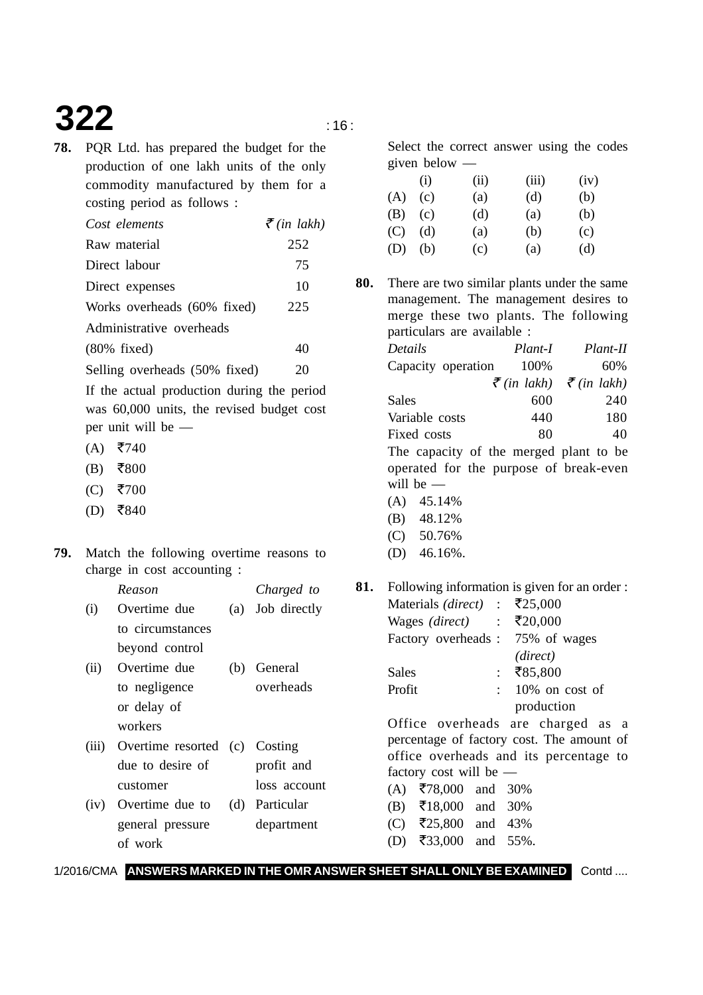# **322 16:**

- 
- **78.** PQR Ltd. has prepared the budget for the production of one lakh units of the only commodity manufactured by them for a costing period as follows :

| Cost elements                 | $\bar{\tau}$ (in lakh) |
|-------------------------------|------------------------|
| Raw material                  | 252                    |
| Direct labour                 | 75                     |
| Direct expenses               | 10                     |
| Works overheads (60% fixed)   | 225                    |
| Administrative overheads      |                        |
| $(80\%$ fixed)                | 40                     |
| Selling overheads (50% fixed) | 20                     |

If the actual production during the period was 60,000 units, the revised budget cost per unit will be —

- $(A)$  ₹740
- $(B)$  ₹800
- $(C)$  ₹700
- $(D)$  ₹840
- **79.** Match the following overtime reasons to charge in cost accounting :

*Reason Charged to* (i) Overtime due (a) Job directly to circumstances beyond control (ii) Overtime due (b) General

- to negligence overheads or delay of workers
- (iii) Overtime resorted (c) Costing due to desire of profit and customer loss account
- (iv) Overtime due to (d) Particular general pressure department of work

Select the correct answer using the codes given below —

|     | (i) | (ii) | (iii) | (iv) |
|-----|-----|------|-------|------|
| (A) | (c) | (a)  | (d)   | (b)  |
| (B) | (c) | (d)  | (a)   | (b)  |
| (C) | (d) | (a)  | (b)   | (c)  |
| (D) | (b) | (c)  | (a)   | (d)  |

**80.** There are two similar plants under the same management. The management desires to merge these two plants. The following particulars are available :

| <b>Details</b>                         | Plant-I | $Plant-II$                                                  |
|----------------------------------------|---------|-------------------------------------------------------------|
| Capacity operation                     | 100%    | 60%                                                         |
|                                        |         | $\bar{\mathcal{F}}$ (in lakh) $\bar{\mathcal{F}}$ (in lakh) |
| Sales                                  | 600     | 240                                                         |
| Variable costs                         | 440     | 180                                                         |
| Fixed costs                            | 80      | 40                                                          |
| The capacity of the merged plant to be |         |                                                             |
| operated for the purpose of break-even |         |                                                             |
| will be $-$                            |         |                                                             |
| 45.14%                                 |         |                                                             |
|                                        |         |                                                             |

- (B) 48.12%
- (C) 50.76%
- (D) 46.16%.

**81.** Following information is given for an order :

|        | Materials ( <i>direct</i> ) :             | ₹25,000   |                     |  |
|--------|-------------------------------------------|-----------|---------------------|--|
|        | Wages (direct) : $\overline{\xi}20,000$   |           |                     |  |
|        | Factory overheads : 75% of wages          |           |                     |  |
|        |                                           | (direct)  |                     |  |
| Sales  |                                           | : ₹85,800 |                     |  |
| Profit |                                           |           | $: 10\%$ on cost of |  |
|        |                                           |           | production          |  |
|        | Office overheads are charged as a         |           |                     |  |
|        | percentage of factory cost. The amount of |           |                     |  |
|        | office overheads and its percentage to    |           |                     |  |
|        | factory cost will be $-$                  |           |                     |  |
|        | (A) $\overline{5}78,000$ and 30%          |           |                     |  |
|        | (B) $\overline{5}18,000$ and 30%          |           |                     |  |
|        | (C) ₹25,800 and 43%                       |           |                     |  |
|        | (D) ₹33,000 and 55%.                      |           |                     |  |
|        |                                           |           |                     |  |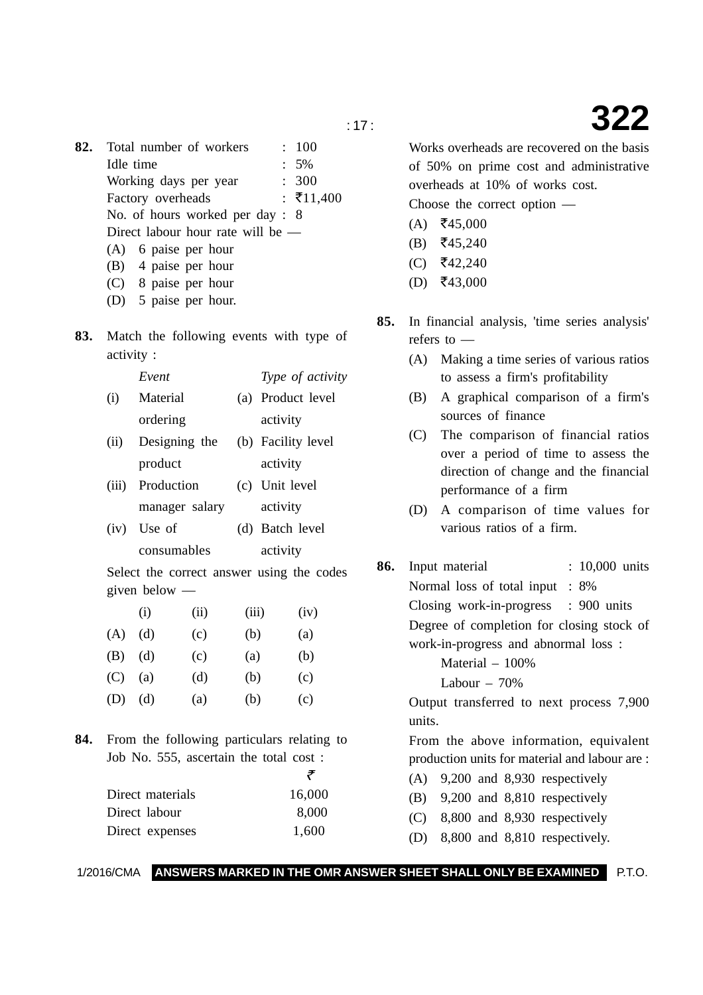**82.** Total number of workers : 100 Idle time : 5% Working days per year : 300 Factory overheads :  $\bar{x}$ 11,400 No. of hours worked per day : 8 Direct labour hour rate will be — (A) 6 paise per hour (B) 4 paise per hour (C) 8 paise per hour (D) 5 paise per hour. **83.** Match the following events with type of activity : *Event Type of activity* (i) Material (a) Product level ordering activity (ii) Designing the (b) Facility level product activity (iii) Production (c) Unit level manager salary activity (iv) Use of (d) Batch level consumables activity Select the correct answer using the codes given below — (i) (iii) (iv)  $(A)$   $(d)$   $(c)$   $(b)$   $(a)$ (B) (d) (c) (a) (b) (C) (a) (d) (b) (c) (D) (d) (a) (b) (c) **84.** From the following particulars relating to Job No. 555, ascertain the total cost :  $\bar{\tau}$ Direct materials 16,000 Direct labour 8,000 Direct expenses 1,600

Works overheads are recovered on the basis of 50% on prime cost and administrative overheads at 10% of works cost.

Choose the correct option —

- $(A)$  ₹45,000
- (B) ₹45,240
- $(C)$  ₹42,240
- $(D)$  ₹43,000
- **85.** In financial analysis, 'time series analysis' refers to —
	- (A) Making a time series of various ratios to assess a firm's profitability
	- (B) A graphical comparison of a firm's sources of finance
	- (C) The comparison of financial ratios over a period of time to assess the direction of change and the financial performance of a firm
	- (D) A comparison of time values for various ratios of a firm.
- **86.** Input material : 10,000 units Normal loss of total input : 8% Closing work-in-progress : 900 units Degree of completion for closing stock of work-in-progress and abnormal loss : Material – 100%

Labour  $-70%$ 

Output transferred to next process 7,900 units.

From the above information, equivalent production units for material and labour are :

- (A) 9,200 and 8,930 respectively
- (B) 9,200 and 8,810 respectively
- (C) 8,800 and 8,930 respectively
- (D) 8,800 and 8,810 respectively.

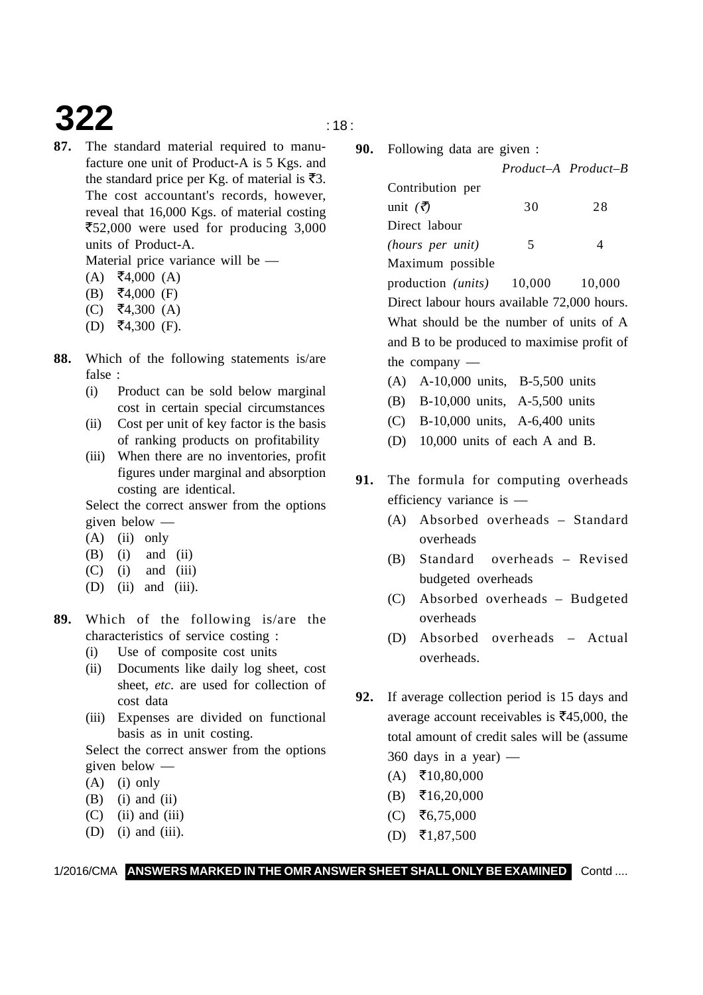### **322**  $\qquad \qquad \text{18}$

**87.** The standard material required to manufacture one unit of Product-A is 5 Kgs. and the standard price per Kg. of material is  $\overline{\mathfrak{F}}3$ . The cost accountant's records, however, reveal that 16,000 Kgs. of material costing ₹52,000 were used for producing 3,000 units of Product-A.

Material price variance will be —

- $(A)$  ₹4,000  $(A)$
- (B) ₹4,000 (F)
- (C) ₹4,300 (A)
- $(D)$  ₹4,300 (F).
- **88.** Which of the following statements is/are false :
	- (i) Product can be sold below marginal cost in certain special circumstances
	- (ii) Cost per unit of key factor is the basis of ranking products on profitability
	- (iii) When there are no inventories, profit figures under marginal and absorption costing are identical.

Select the correct answer from the options given below —

- (A) (ii) only
- $(B)$  (i) and (ii)
- $(C)$  (i) and (iii)
- (D) (ii) and (iii).
- **89.** Which of the following is/are the characteristics of service costing :
	- (i) Use of composite cost units
	- (ii) Documents like daily log sheet, cost sheet, *etc*. are used for collection of cost data
	- (iii) Expenses are divided on functional basis as in unit costing.

Select the correct answer from the options given below —

- $(A)$  (i) only
- $(B)$  (i) and (ii)
- $(C)$  (ii) and (iii)
- $(D)$  (i) and (iii).
- - **90.** Following data are given :

*Product–A Product–B*

| Contribution per                            |                          |    |
|---------------------------------------------|--------------------------|----|
| unit $(\bar{\vec{z}})$                      | 30                       | 28 |
| Direct labour                               |                          |    |
| (hours per unit)                            | $\overline{\mathcal{L}}$ | 4  |
| Maximum possible                            |                          |    |
| production $(units)$ 10,000 10,000          |                          |    |
| Direct labour hours available 72,000 hours. |                          |    |
| What should be the number of units of A     |                          |    |
| and B to be produced to maximise profit of  |                          |    |
| the company $-$                             |                          |    |

- (A) A-10,000 units, B-5,500 units
- (B) B-10,000 units, A-5,500 units
- (C) B-10,000 units, A-6,400 units
- (D) 10,000 units of each A and B.
- **91.** The formula for computing overheads efficiency variance is —
	- (A) Absorbed overheads Standard overheads
	- (B) Standard overheads Revised budgeted overheads
	- (C) Absorbed overheads Budgeted overheads
	- (D) Absorbed overheads Actual overheads.
- **92.** If average collection period is 15 days and average account receivables is  $\bar{\mathfrak{F}}45,000$ , the total amount of credit sales will be (assume  $360$  days in a year) —
	- $(A)$  ₹10,80,000
	- $(B)$  ₹16,20,000
	- $(C)$  ₹6,75,000
	- $(D)$  ₹1,87,500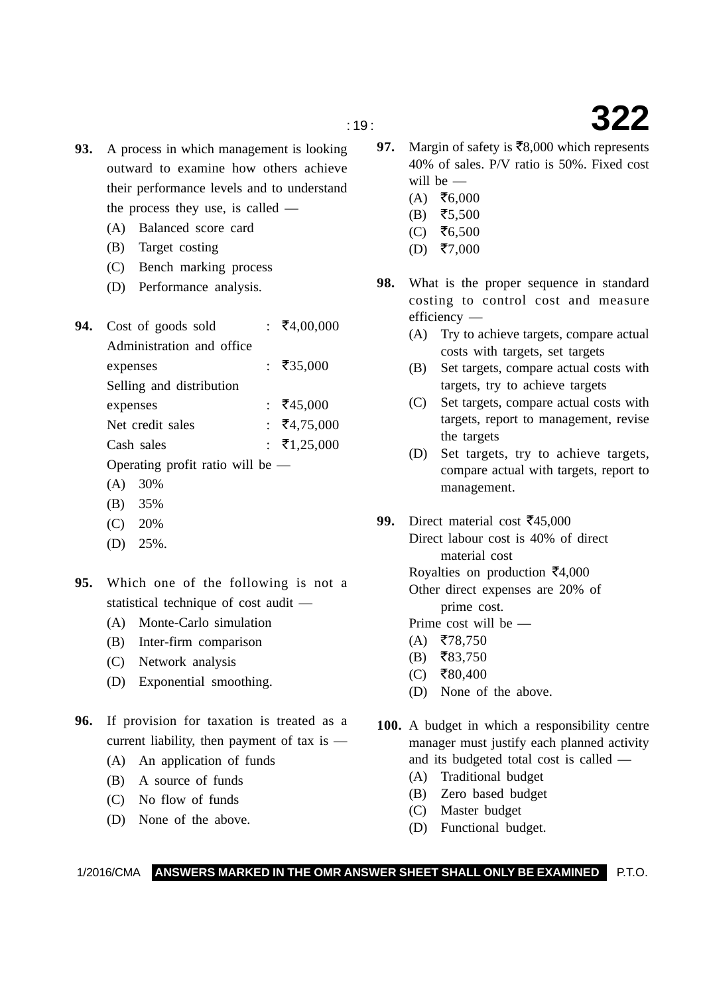- **93.** A process in which management is looking outward to examine how others achieve their performance levels and to understand the process they use, is called —
	- (A) Balanced score card
	- (B) Target costing
	- (C) Bench marking process
	- (D) Performance analysis.
- 94. Cost of goods sold  $\frac{}{\sqrt{5400000}}$ Administration and office expenses : ₹35,000 Selling and distribution expenses :  $\overline{5}45,000$ Net credit sales :  $\bar{x}$ 4,75,000 Cash sales :  $\bar{x}$ 1,25,000 Operating profit ratio will be —
	- (A) 30%
	- (B) 35%
	- (C) 20%
	- (D) 25%.

**95.** Which one of the following is not a statistical technique of cost audit —

- (A) Monte-Carlo simulation
- (B) Inter-firm comparison
- (C) Network analysis
- (D) Exponential smoothing.
- **96.** If provision for taxation is treated as a current liability, then payment of tax is —
	- (A) An application of funds
	- (B) A source of funds
	- (C) No flow of funds
	- (D) None of the above.
- 97. Margin of safety is  $\overline{58,000}$  which represents 40% of sales. P/V ratio is 50%. Fixed cost will be —
	- $(A)$  ₹6,000
	- $(B)$  ₹5,500
	- $(C)$  ₹6,500
	- $(D)$  ₹7,000
- **98.** What is the proper sequence in standard costing to control cost and measure efficiency —
	- (A) Try to achieve targets, compare actual costs with targets, set targets
	- (B) Set targets, compare actual costs with targets, try to achieve targets
	- (C) Set targets, compare actual costs with targets, report to management, revise the targets
	- (D) Set targets, try to achieve targets, compare actual with targets, report to management.

99. Direct material cost  $\overline{\xi}$ 45,000 Direct labour cost is 40% of direct material cost Royalties on production  $\bar{\mathfrak{e}}4,000$ Other direct expenses are 20% of prime cost. Prime cost will be —

- $(A)$  ₹78,750
- $(B)$  ₹83,750
- $(C)$  ₹80,400
- (D) None of the above.
- **100.** A budget in which a responsibility centre manager must justify each planned activity and its budgeted total cost is called —
	- (A) Traditional budget
	- (B) Zero based budget
	- (C) Master budget
	- (D) Functional budget.